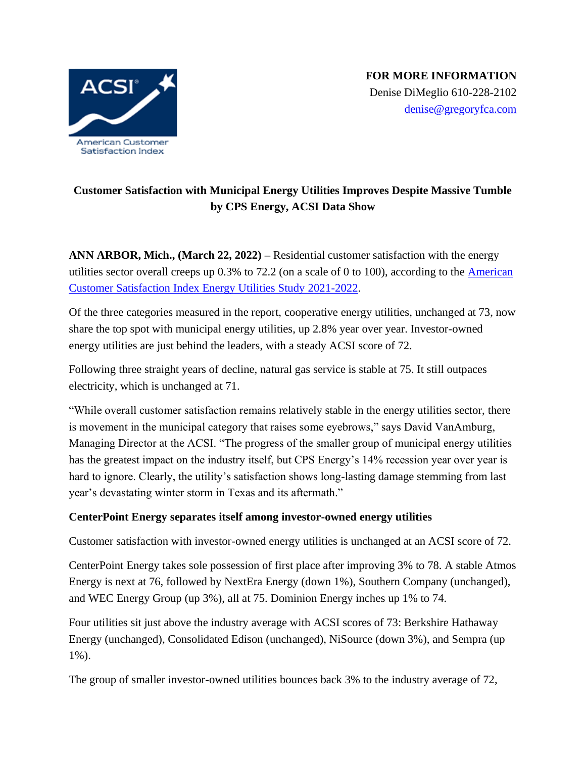

# **Customer Satisfaction with Municipal Energy Utilities Improves Despite Massive Tumble by CPS Energy, ACSI Data Show**

**ANN ARBOR, Mich., (March 22, 2022) –** Residential customer satisfaction with the energy utilities sector overall creeps up  $0.3\%$  to  $72.2$  (on a scale of 0 to 100), according to the American [Customer Satisfaction Index Energy Utilities Study 2021-2022.](https://www.theacsi.org/news-and-resources/reports/)

Of the three categories measured in the report, cooperative energy utilities, unchanged at 73, now share the top spot with municipal energy utilities, up 2.8% year over year. Investor-owned energy utilities are just behind the leaders, with a steady ACSI score of 72.

Following three straight years of decline, natural gas service is stable at 75. It still outpaces electricity, which is unchanged at 71.

"While overall customer satisfaction remains relatively stable in the energy utilities sector, there is movement in the municipal category that raises some eyebrows," says David VanAmburg, Managing Director at the ACSI. "The progress of the smaller group of municipal energy utilities has the greatest impact on the industry itself, but CPS Energy's 14% recession year over year is hard to ignore. Clearly, the utility's satisfaction shows long-lasting damage stemming from last year's devastating winter storm in Texas and its aftermath."

## **CenterPoint Energy separates itself among investor-owned energy utilities**

Customer satisfaction with investor-owned energy utilities is unchanged at an ACSI score of 72.

CenterPoint Energy takes sole possession of first place after improving 3% to 78. A stable Atmos Energy is next at 76, followed by NextEra Energy (down 1%), Southern Company (unchanged), and WEC Energy Group (up 3%), all at 75. Dominion Energy inches up 1% to 74.

Four utilities sit just above the industry average with ACSI scores of 73: Berkshire Hathaway Energy (unchanged), Consolidated Edison (unchanged), NiSource (down 3%), and Sempra (up 1%).

The group of smaller investor-owned utilities bounces back 3% to the industry average of 72,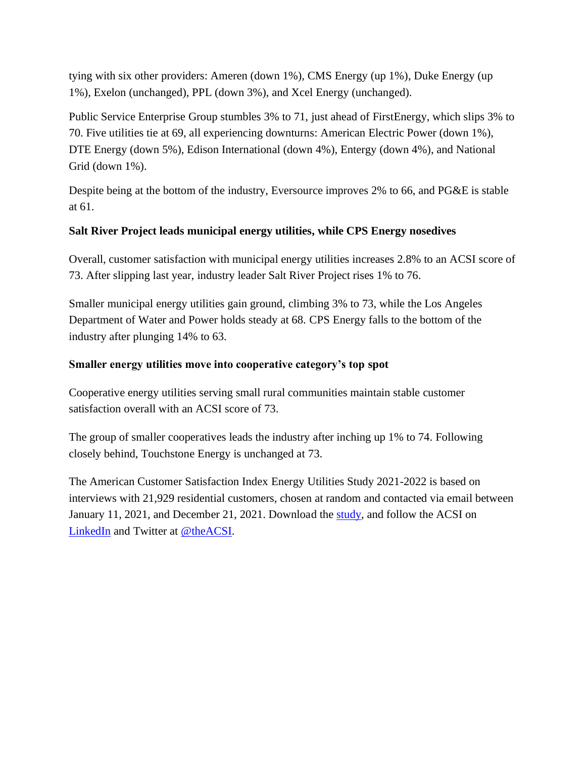tying with six other providers: Ameren (down 1%), CMS Energy (up 1%), Duke Energy (up 1%), Exelon (unchanged), PPL (down 3%), and Xcel Energy (unchanged).

Public Service Enterprise Group stumbles 3% to 71, just ahead of FirstEnergy, which slips 3% to 70. Five utilities tie at 69, all experiencing downturns: American Electric Power (down 1%), DTE Energy (down 5%), Edison International (down 4%), Entergy (down 4%), and National Grid (down 1%).

Despite being at the bottom of the industry, Eversource improves 2% to 66, and PG&E is stable at 61.

## **Salt River Project leads municipal energy utilities, while CPS Energy nosedives**

Overall, customer satisfaction with municipal energy utilities increases 2.8% to an ACSI score of 73. After slipping last year, industry leader Salt River Project rises 1% to 76.

Smaller municipal energy utilities gain ground, climbing 3% to 73, while the Los Angeles Department of Water and Power holds steady at 68. CPS Energy falls to the bottom of the industry after plunging 14% to 63.

## **Smaller energy utilities move into cooperative category's top spot**

Cooperative energy utilities serving small rural communities maintain stable customer satisfaction overall with an ACSI score of 73.

The group of smaller cooperatives leads the industry after inching up 1% to 74. Following closely behind, Touchstone Energy is unchanged at 73.

The American Customer Satisfaction Index Energy Utilities Study 2021-2022 is based on interviews with 21,929 residential customers, chosen at random and contacted via email between January 11, 2021, and December 21, 2021. Download the [study,](https://www.theacsi.org/news-and-resources/reports/) and follow the ACSI on [LinkedIn](https://www.linkedin.com/company/american-customer-satisfaction-index-acsi-/) and Twitter at [@theACSI.](https://www.twitter.com/theacsi)